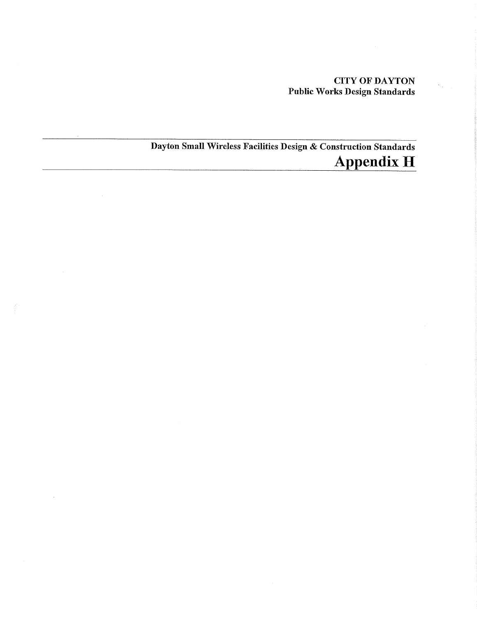## CITY OF DAYTON Public Works Design Standards

# Dayton Small Wireless Facilities Design & Construction Standards **AppendixH**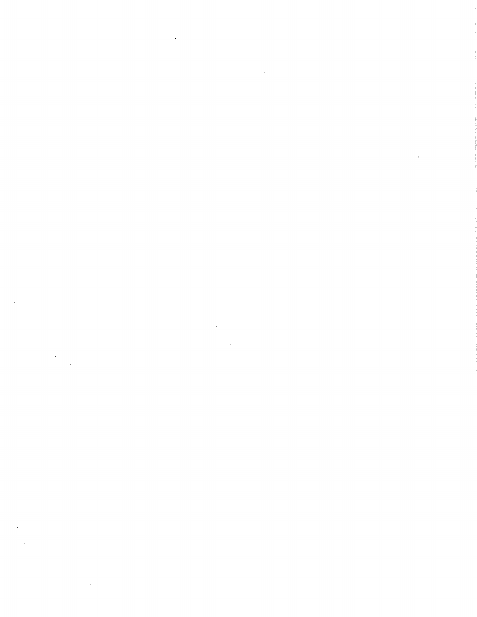$\label{eq:2.1} \mathcal{L}(\mathcal{L}^{\mathcal{L}}_{\mathcal{L}}(\mathcal{L}^{\mathcal{L}}_{\mathcal{L}})) \leq \mathcal{L}(\mathcal{L}^{\mathcal{L}}_{\mathcal{L}}(\mathcal{L}^{\mathcal{L}}_{\mathcal{L}})) \leq \mathcal{L}(\mathcal{L}^{\mathcal{L}}_{\mathcal{L}}(\mathcal{L}^{\mathcal{L}}_{\mathcal{L}}))$  $\label{eq:2.1} \frac{1}{\sqrt{2}}\int_{\mathbb{R}^3}\frac{1}{\sqrt{2}}\left(\frac{1}{\sqrt{2}}\right)^2\frac{1}{\sqrt{2}}\left(\frac{1}{\sqrt{2}}\right)^2\frac{1}{\sqrt{2}}\left(\frac{1}{\sqrt{2}}\right)^2\frac{1}{\sqrt{2}}\left(\frac{1}{\sqrt{2}}\right)^2.$  $\mathcal{L}(\mathcal{L}^{\mathcal{L}})$  and  $\mathcal{L}(\mathcal{L}^{\mathcal{L}})$  . The contribution of  $\mathcal{L}^{\mathcal{L}}$ 

 $\label{eq:2.1} \frac{1}{\sqrt{2}}\int_{\mathbb{R}^3}\frac{1}{\sqrt{2}}\left(\frac{1}{\sqrt{2}}\right)^2\frac{1}{\sqrt{2}}\left(\frac{1}{\sqrt{2}}\right)^2\frac{1}{\sqrt{2}}\left(\frac{1}{\sqrt{2}}\right)^2\frac{1}{\sqrt{2}}\left(\frac{1}{\sqrt{2}}\right)^2\frac{1}{\sqrt{2}}\left(\frac{1}{\sqrt{2}}\right)^2\frac{1}{\sqrt{2}}\frac{1}{\sqrt{2}}\frac{1}{\sqrt{2}}\frac{1}{\sqrt{2}}\frac{1}{\sqrt{2}}\frac{1}{\sqrt{2}}$ 

 $\label{eq:2.1} \frac{1}{\sqrt{2}}\int_{\mathbb{R}^3}\frac{1}{\sqrt{2}}\left(\frac{1}{\sqrt{2}}\right)^2\frac{1}{\sqrt{2}}\left(\frac{1}{\sqrt{2}}\right)^2\frac{1}{\sqrt{2}}\left(\frac{1}{\sqrt{2}}\right)^2\frac{1}{\sqrt{2}}\left(\frac{1}{\sqrt{2}}\right)^2.$  $\label{eq:2.1} \frac{1}{\sqrt{2}}\left(\frac{1}{\sqrt{2}}\right)^{2} \left(\frac{1}{\sqrt{2}}\right)^{2} \left(\frac{1}{\sqrt{2}}\right)^{2} \left(\frac{1}{\sqrt{2}}\right)^{2} \left(\frac{1}{\sqrt{2}}\right)^{2} \left(\frac{1}{\sqrt{2}}\right)^{2} \left(\frac{1}{\sqrt{2}}\right)^{2} \left(\frac{1}{\sqrt{2}}\right)^{2} \left(\frac{1}{\sqrt{2}}\right)^{2} \left(\frac{1}{\sqrt{2}}\right)^{2} \left(\frac{1}{\sqrt{2}}\right)^{2} \left(\$ 

 $\label{eq:2.1} \frac{1}{\sqrt{2}}\left(\frac{1}{\sqrt{2}}\right)^{2} \left(\frac{1}{\sqrt{2}}\right)^{2} \left(\frac{1}{\sqrt{2}}\right)^{2} \left(\frac{1}{\sqrt{2}}\right)^{2} \left(\frac{1}{\sqrt{2}}\right)^{2} \left(\frac{1}{\sqrt{2}}\right)^{2} \left(\frac{1}{\sqrt{2}}\right)^{2} \left(\frac{1}{\sqrt{2}}\right)^{2} \left(\frac{1}{\sqrt{2}}\right)^{2} \left(\frac{1}{\sqrt{2}}\right)^{2} \left(\frac{1}{\sqrt{2}}\right)^{2} \left(\$ 

 $\label{eq:2.1} \mathcal{F}_{\text{max}}(x) = \frac{1}{\sqrt{2\pi}}\sum_{i=1}^{\infty} \frac{1}{\sqrt{2\pi}} \sum_{i=1}^{\infty} \frac{1}{\sqrt{2\pi}} \sum_{i=1}^{\infty} \frac{1}{\sqrt{2\pi}} \sum_{i=1}^{\infty} \frac{1}{\sqrt{2\pi}} \sum_{i=1}^{\infty} \frac{1}{\sqrt{2\pi}} \sum_{i=1}^{\infty} \frac{1}{\sqrt{2\pi}} \sum_{i=1}^{\infty} \frac{1}{\sqrt{2\pi}} \sum_{i=1}^{\infty} \frac{1$  $\mathcal{L}^{(1,2)}$  .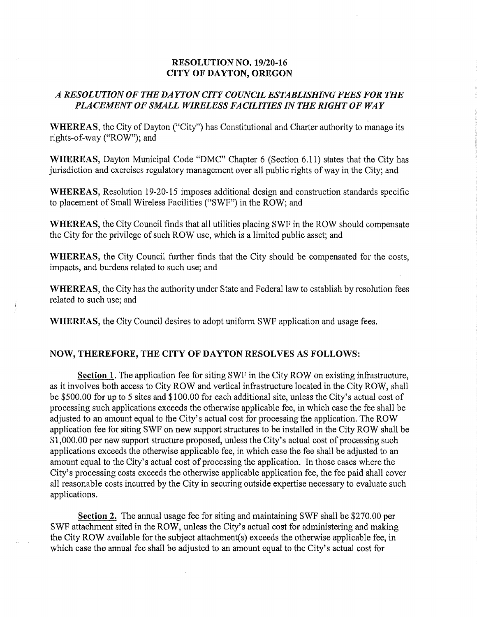## **RESOLUTION NO. 19/20·16 CITY OF DAYTON, OREGON**

## *A RESOLUTION OF THE DAYTON CITY COUNCIL ESTABLISHING FEES FOR THE PLACEMENT OF SMALL WIRELESS FACILITIES IN THE RIGHT OF WAY*

**WHEREAS,** the City of Dayton ("City") has Constitutional and Charter authority to manage its rights-of-way ("ROW"); and

**WHEREAS,** Dayton Municipal Code "DMC" Chapter 6 (Section 6.11) states that the City has jurisdiction and exercises regulatory management over all public rights of way in the City; and

**WHEREAS,** Resolution 19-20-15 imposes additional design and construction standards specific to placement of Small Wireless Facilities ("SWF") in the ROW; and

**WHEREAS,** the City Council finds that all utilities placing SWF in the ROW should compensate the City for the privilege of such ROW use, which is a limited public asset; and

**WHEREAS,** the City Council further finds that the City should be compensated for the costs, impacts, and burdens related to such use; and

**WHEREAS,** the City has the authority under State and Federal law to establish by resolution fees related to such use; and

**WHEREAS,** the City Council desires to adopt uniform SWF application and usage fees.

#### **NOW, THEREFORE, THE CITY OF DAYTON RESOLVES AS FOLLOWS:**

**Section 1.** The application fee for siting SWF in the City ROW on existing infrastructure, as it involves both access to City ROW and vertical infrastructure located in the City ROW, shall be \$500.00 for up to 5 sites and \$100.00 for each additional site, unless the City's actual cost of processing such applications exceeds the otherwise applicable fee, in which case the fee shall be adjusted to an amount equal to the City's actual cost for processing the application. The ROW application fee for siting SWF on new support structures to be installed in the City ROW shall be \$1,000.00 per new support structure proposed, unless the City's actual cost of processing such applications exceeds the otherwise applicable fee, in which case the fee shall be adjusted to an amount equal to the City's actual cost of processing the application. In those cases where the City's processing costs exceeds the otherwise applicable application fee, the fee paid shall cover all reasonable costs incurred by the City in securing outside expertise necessary to evaluate such applications.

**Section 2.** The annual usage fee for siting and maintaining SWF shall be \$270.00 per SWF attachment sited in the ROW, unless the City's actual cost for administering and making the City ROW available for the subject attachment(s) exceeds the otherwise applicable fee, in which case the annual fee shall be adjusted to an amount equal to the City's actual cost for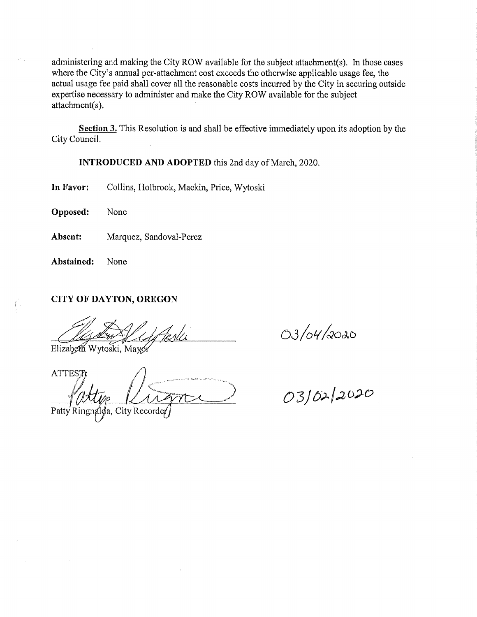administering and making the City ROW available for the subject attachment(s). In those cases where the City's annual per-attachment cost exceeds the otherwise applicable usage fee, the actual usage fee paid shall cover all the reasonable costs incurred by the City in securing outside expertise necessary to administer and make the City ROW available for the subject  $attachment(s)$ .

**Section 3.** This Resolution is and shall be effective immediately upon its adoption by the City Council.

**INTRODUCED AND ADOPTED** this 2nd day of March, 2020.

**In Favor:** Collins, Holbrook, Mackin, Price, Wytoski

**Opposed:** None

**Absent:** Marquez, Sandoval-Perez

**Abstained:** None

## **CITY OF DAYTON, OREGON**

Fosili Elizabeth Wytoski, Mayor

**ATTES** Patty Ringn City Recorder

03/04/2020

03/02/2020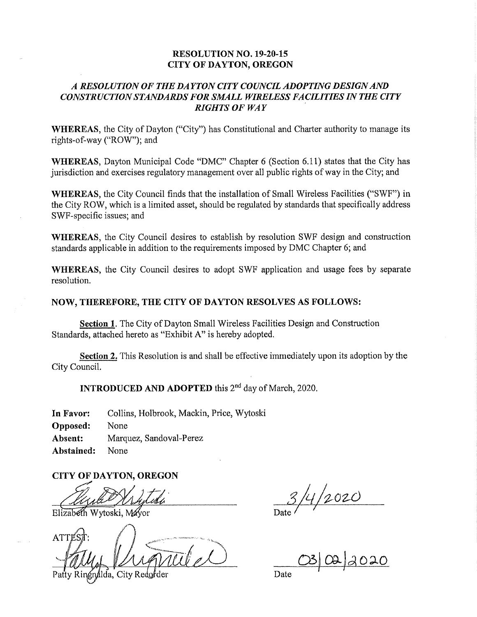## **RESOLUTION NO. 19-20-15 CITY OF DAYTON, OREGON**

## *A RESOLUTION OF THE DAYTON CITY COUNCIL ADOPTING DESIGN AND CONSTRUCTION STANDARDS FOR SMALL WIRELESS FACILITIES IN THE CITY RIGHTS OF WAY* ,

**WHEREAS**, the City of Dayton ("City") has Constitutional and Charter authority to manage its rights-of-way ("ROW"); and

**WHEREAS,** Dayton Municipal Code "DMC" Chapter 6 (Section 6.11) states that the City has jurisdiction and exercises regulatory management over all public rights of way in the City; and

**WHEREAS,** the City Council finds that the installation of Small Wireless Facilities ("SWF") in the City ROW, which is a limited asset, should be regulated by standards that specifically address SWF-specific issues; and

**WHEREAS,** the City Council desires to establish by resolution SWF design and construction standards applicable in addition to the requirements imposed by DMC Chapter 6; and

**WHEREAS,** the City Council desires to adopt SWF application and usage fees by separate resolution.

## **NOW, THEREFORE, THE CITY OF DAYTON RESOLVES AS FOLLOWS:**

**Section 1.** The City of Dayton Small Wireless Facilities Design and Construction Standards, attached hereto as "Exhibit A" is hereby adopted.

**Section 2.** This Resolution is and shall be effective immediately upon its adoption by the City Council.

**INTRODUCED AND ADOPTED** this 2<sup>nd</sup> day of March, 2020.

**In Favor:** Collins, Holbrook, Mackin, Price, Wytoski **Opposed:** None **Absent:** Marquez, Sandoval-Perez **Abstained:** None

## **CITY OF DAYTON, OREGON**

Elizabeth Wytoski, Mayor

ATTE:

City Redo

*\_3\_* lyfa *0* 2-() Date / '

0302/2020 Date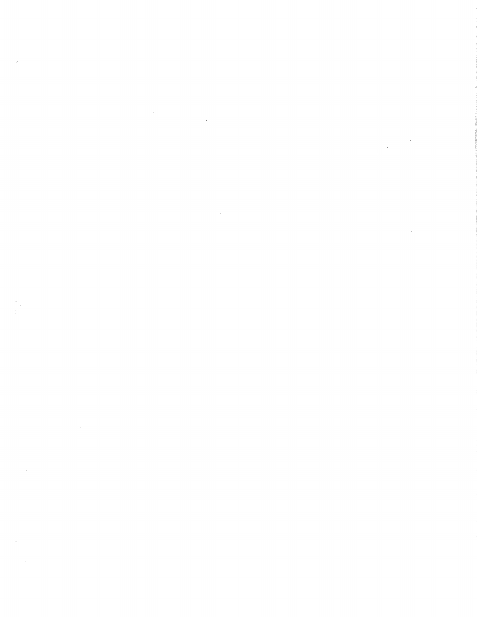$\label{eq:2.1} \frac{1}{\sqrt{2}}\int_{\mathbb{R}^3}\frac{1}{\sqrt{2}}\left(\frac{1}{\sqrt{2}}\right)^2\frac{1}{\sqrt{2}}\left(\frac{1}{\sqrt{2}}\right)^2\frac{1}{\sqrt{2}}\left(\frac{1}{\sqrt{2}}\right)^2\frac{1}{\sqrt{2}}\left(\frac{1}{\sqrt{2}}\right)^2.$  $\label{eq:2.1} \begin{array}{l} \mathbf{w} \\ \mathbf{w} \\ \mathbf{w} \\ \mathbf{w} \end{array}$  $\label{eq:2.1} \frac{1}{\sqrt{2}}\left(\frac{1}{\sqrt{2}}\right)^{2} \left(\frac{1}{\sqrt{2}}\right)^{2} \left(\frac{1}{\sqrt{2}}\right)^{2} \left(\frac{1}{\sqrt{2}}\right)^{2} \left(\frac{1}{\sqrt{2}}\right)^{2} \left(\frac{1}{\sqrt{2}}\right)^{2} \left(\frac{1}{\sqrt{2}}\right)^{2} \left(\frac{1}{\sqrt{2}}\right)^{2} \left(\frac{1}{\sqrt{2}}\right)^{2} \left(\frac{1}{\sqrt{2}}\right)^{2} \left(\frac{1}{\sqrt{2}}\right)^{2} \left(\$  $\label{eq:2.1} \frac{1}{\sqrt{2}}\sum_{i=1}^n\frac{1}{\sqrt{2}}\sum_{i=1}^n\frac{1}{\sqrt{2}}\sum_{i=1}^n\frac{1}{\sqrt{2}}\sum_{i=1}^n\frac{1}{\sqrt{2}}\sum_{i=1}^n\frac{1}{\sqrt{2}}\sum_{i=1}^n\frac{1}{\sqrt{2}}\sum_{i=1}^n\frac{1}{\sqrt{2}}\sum_{i=1}^n\frac{1}{\sqrt{2}}\sum_{i=1}^n\frac{1}{\sqrt{2}}\sum_{i=1}^n\frac{1}{\sqrt{2}}\sum_{i=1}^n\frac$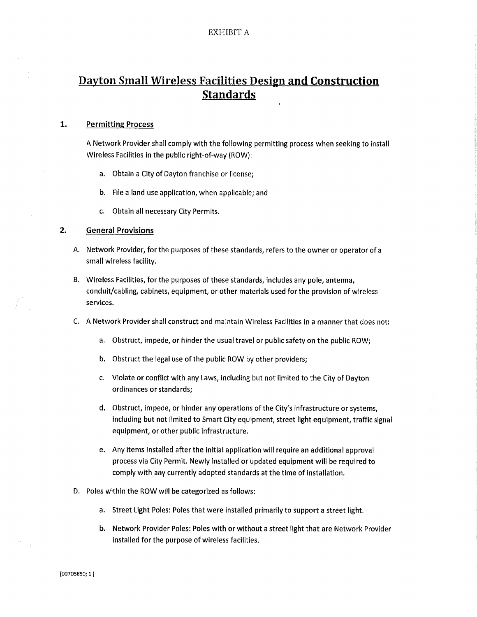#### EXHIBIT A

## Dayton Small Wireless Facilities Design and Construction Standards

#### 1. Permitting Process

A Network Provider shall comply with the following permitting process when seeking to install Wireless Facilities in the public right-of-way (ROW):

- a. Obtain a City of Dayton franchise or license;
- b. File a land use application, when applicable; and
- c. Obtain all necessary City Permits.

#### 2. General Provisions

- A. Network Provider, for the purposes of these standards, refers to the owner or operator of <sup>a</sup> small wireless facility.
- B. Wireless Facilities, for the purposes of these standards, includes any pole, antenna, conduit/cabling, cabinets, equipment, or other materials used for the provision of wireless services.
- C. A Network Provider shall construct and maintain Wireless Facilities in a manner that does not:
	- a. Obstruct, impede, or hinder the usual travel or public safety on the public ROW;
	- b. Obstruct the legal use of the public ROW by other providers;
	- c. Violate or conflict with any Laws, including but not limited to the City of Dayton ordinances or standards;
	- d. Obstruct, impede, or hinder any operations of the City's infrastructure or systems, Including but not limited to Smart City equipment, street light equipment, traffic signal equipment, or other public infrastructure.
	- e. Any items installed after the initial application will require an additional approval process via City Permit. Newly installed or updated equipment will be required to comply with any currently adopted standards at the time of Installation.
- D. Poles within the ROW will be categorized as follows:
	- a. Street Light Poles: Poles that were installed primarily to support a street light.
	- b. Network Provider Poles: Poles with or without a street light that are Network Provider installed for the purpose of wireless facilities.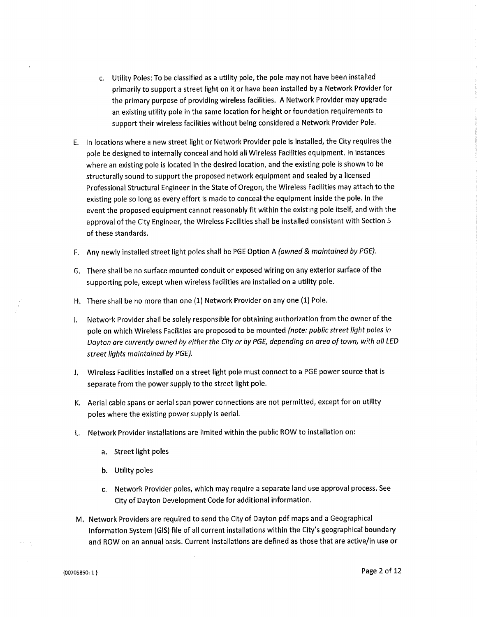- c. Utility Poles: To be classified as a utility pole, the pole may not have been installed primarily to support a street light on it or have been installed by a Network Provider for the primary purpose of providing wireless facilities. A Network Provider may upgrade an existing utility pole in the same location for height or foundation requirements to support their wireless facilities without being considered a Network Provider Pole.
- E. In locations where a new street light or Network Provider pole is installed, the City requires the pole be designed to internally conceal and hold all Wireless Facilities equipment. In instances where an existing pole is located in the desired location, and the existing pole ls shown to be structurally sound to support the proposed network equipment and sealed by a licensed Professional Structural Engineer in the State of Oregon, the Wireless Facilities may attach to the existing pole so long as every effort is made to conceal the equipment inside the pole. In the event the proposed equipment cannot reasonably fit within the existing pole itself, and with the approval of the City Engineer, the Wireless Facilities shall be installed consistent with Section 5 of these standards.
- F. Any newly installed street light poles shall be PGE Option A *(owned* & *maintained* by *PGE).*
- G. There shall be no surface mounted conduit or exposed wiring on any exterior surface of the supporting pole, except when wireless facilities are installed on a utility pole.
- H. There shall be no more than one (1) Network Provider on any one (1) Pole.
- I. Network Provider shall be solely responsible for obtaining authorization from the owner of the pole on which Wireless Facilities are proposed to be mounted *(note: public street light poles in Dayton are currently owned by either the City or* by *PGE, depending on area of town, with all LED street lights maintained* by *PGE}.*
- J. Wireless Facilities installed on a street light pole must connect to a PGE power source that is separate from the power supply to the street light pole.
- K. Aerial cable spans or aerial span power connections are not permitted, except for on utility poles where the existing power supply is aerial.
- L. Network Provider installations are limited within the public ROW to installation on:
	- a. Street light poles
	- b. Utility poles
	- c. Network Provider poles, which may require a separate land use approval process. See City of Dayton Development Code for additional information.
- M. Network Providers are required to send the City of Dayton pdf maps and a Geographical Information System (GIS) file of all current installations within the City's geographical boundary and ROW on an annual basis. Current installations are defined as those that are active/in use or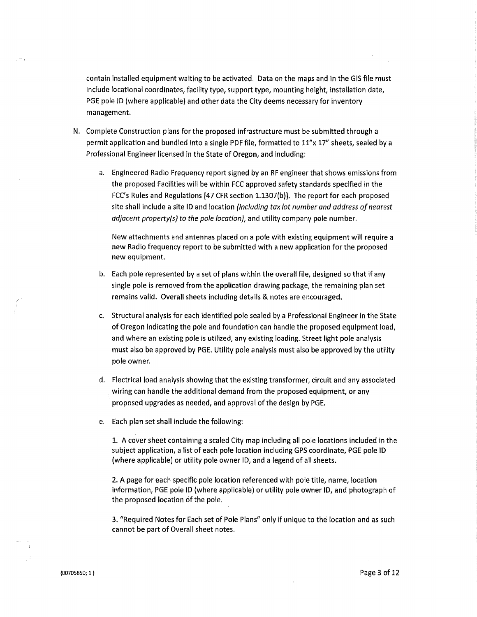contain installed equipment waiting to be activated. Data on the maps and in the GIS file must lnclude locational coordinates, facility type, support type, mounting height, installation date, PGE pole ID (where applicable) and other data the City deems necessary for inventory management.

- N. Complete Construction plans for the proposed infrastructure must be submitted through a permit application and bundled Into a single PDF file, formatted to 11"x 17" sheets, sealed by a Professional Engineer licensed in the State of Oregon, and including:
	- a. Engineered Radio Frequency report signed by an RF engineer that shows emissions from the proposed Facilities will be within FCC approved safety standards specified in the FCC's Rules and Regulations [47 CFR section 1.1307(b)]. The report for each proposed site shall include a site ID and location *{Including tax lot number and address of nearest adjacent property(s) to the pole location),* and utility company pole number.

New attachments and antennas placed on a pole with existing equipment will require a new Radio frequency report to be submitted with a new application for the proposed new equipment.

- b. Each pole represented by a set of plans within the overall file, designed so that if any single pole is removed from the application drawing package, the remaining plan set remains valid. Overall sheets including details & notes are encouraged.
- c. Structural analysis for each identified pole sealed by a Professional Engineer in the State of Oregon indicating the pole and foundation can handle the proposed equipment load, and where an existing pole is utilized, any existing loading. Street light pole analysis must also be approved by PGE. Utility pole analysis must also be approved by the utility pole owner.
- d. Electrical load analysis showing that the existing transformer, circuit and any associated wiring can handle the additional demand from the proposed equipment, or any proposed upgrades as needed, and approval of the design by PGE.
- e. Each plan set shall include the following:

1. A cover sheet containing a scaled City map including all pole locations included in the subject application, a list of each pole location including GPS coordinate, PGE pole ID (where applicable) or utility pole owner ID, and a legend of all sheets.

2. A page for each specific pole location referenced with pole title, name, location information, PGE pole ID (where applicable) or utility pole owner ID, and photograph of the proposed location of the pole,

3. "Required Notes for Each set of Pole Plans" only if unique to the location and as such cannot be part of Overall sheet notes.

. en l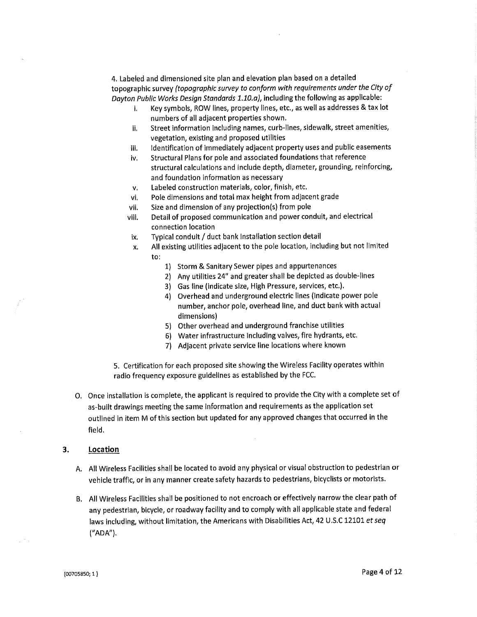4. Labeled and dimensioned site plan and elevation plan based on a detailed topographic survey *(topographic survey to conform with requirements under the City of Dayton Public Works Design Standards 1.10.a),* including the following as applicable:

- i. Key symbols, ROW lines, property lines, etc., as well as addresses & tax lot numbers of all adjacent properties shown.
- ii. Street information Including names, curb-lines, sidewalk, street amenities, vegetation, existing and proposed utilities
- iii. Identification of immediately adjacent property uses and public easements
- iv. Structural Plans for pole and associated foundations that reference structural calculations and include depth, diameter, grounding, reinforcing, and foundation information as necessary
- v, Labeled construction materials, color, finish, etc.
- vi. Pole dimensions and total max height from adjacent grade
- vii. Size and dimension of any projection(s) from pole
- viii. Detail of proposed communication and power conduit, and electrical connection location
- ix. Typical conduit / duct bank installation section detail
- x. All existing utilities adjacent to the pole location, including but not limited to:
	- 1) Storm & Sanitary Sewer pipes and appurtenances
	- 2) Any utilities 24" and greater shall be depicted as double-lines
	- 3) Gas line (indicate size, High Pressure, services, etc.).
	- 4) Overhead and underground electric lines (indicate power pole number, anchor pole, overhead line, and duct bank with actual dimensions)
	- 5) Other overhead and underground franchise utilities
	- 6) Water infrastructure including valves, fire hydrants, etc.
	- 7) Adjacent private service line locations where known

5. Certification for each proposed site showing the Wireless Facility operates within radio frequency exposure guidelines as established by the FCC.

0. Once installation Is complete, the applicant is required to provide the City with a complete set of as-built drawings meeting the same Information and requirements as the application set outlined in item M of this section but updated for any approved changes that occurred in the field.

#### **3. Location**

- A. All Wireless Facilities shall be located to avoid any physical or visual obstruction to pedestrian or vehicle traffic, or in any manner create safety hazards to pedestrians, bicyclists or motorists.
- B. All Wireless Facilities shall be positioned to not encroach or effectively narrow the clear path of any pedestrian, bicycle, or roadway facility and to comply with all applicable state and federal laws including, without limitation, the Americans with Disabilities Act, 42 U.S.C 12101 *et seq*  ("ADA").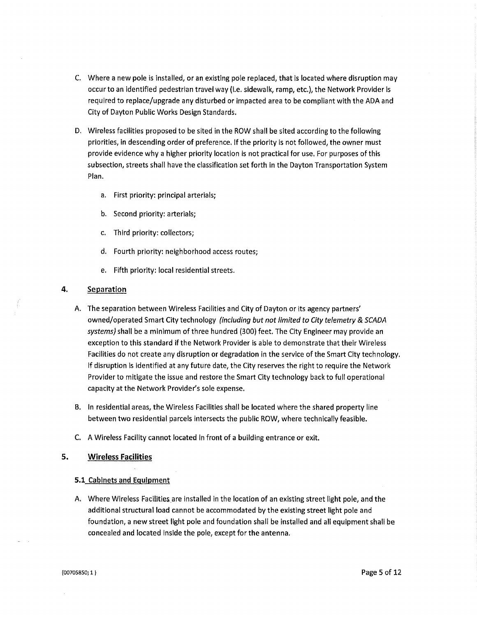- C. Where a new pole is installed, or an existing pole replaced, that is located where disruption may occur to an identified pedestrian travel way (i.e. sidewalk, ramp, etc.), the Network Provider is required to replace/upgrade any disturbed or impacted area to be compliant with the ADA and City of Dayton Public Works Design Standards.
- D. Wireless facilities proposed to be sited in the ROW shall be sited according to the following priorities, in descending order of preference. If the priority is not followed, the owner must provide evidence why a higher priority location is not practical for use. For purposes of this subsection, streets shall have the classification set forth in the Dayton Transportation System Plan.
	- a. First priority: principal arterials;
	- b. Second priority: arterials;
	- c. Third priority: collectors;
	- d. Fourth priority: neighborhood access routes;
	- e. Fifth priority: local residential streets.

#### **4.** Separation

- A. The separation between Wireless Facilities and City of Dayton or its agency partners' owned/operated Smart City technology *(including but not limited to City telemetry* & *SCADA systems)* shall be a minimum of three hundred (300) feet. The City Engineer may provide an exception to this standard if the Network Provider is able to demonstrate that their Wireless Facilities do not create any disruption or degradation in the service of the Smart City technology. If disruption is identified at any future date, the City reserves the right to require the Network Provider to mitigate the issue and restore the Smart City technology back to full operational capacity at the Network Provider's sole expense.
- B. In residential areas, the Wireless Facilities shall be located where the shared property line between two residential parcels intersects the public ROW, where technically feasible.
- C. A Wireless Facility cannot located in front of a building entrance or exit.

#### **5. Wireless Facilities**

#### 5.1 Cabinets and Equipment

A. Where Wireless Facilities are installed in the location of an existing street light pole, and the additional structural load cannot be accommodated by the existing street light pole and foundation, a new street light pole and foundation shall be installed and all equipment shall be concealed and located inside the pole, except for the antenna.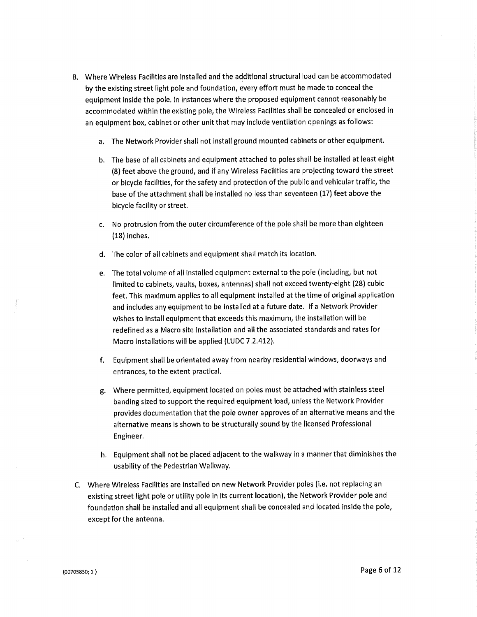- B. Where Wireless Facilities are installed and the additional structural load can be accommodated by the existing street light pole and foundation, every effort must be made to conceal the equipment Inside the pole, In instances where the proposed equipment cannot reasonably be accommodated within the existing pole, the Wireless Facilities shall be concealed or enclosed in an equipment box, cabinet or other unit that may include ventilation openings as follows:
	- a. The Network Provider shall not install ground mounted cabinets or other equipment.
	- b. The base of all cabinets and equipment attached to poles shall be installed at least eight (8) feet above the ground, and if any Wireless Facilities are projecting toward the street or bicycle facilities, for the safety and protection of the public and vehicular traffic, the base of the attachment shall be installed no less than seventeen (17) feet above the bicycle facility or street.
	- c. No protrusion from the outer circumference of the pole shall be more than eighteen (18) inches.
	- d. The color of all cabinets and equipment shall match its location.
	- e. The total volume of all installed equipment external to the pole (Including, but not limited to cabinets, vaults, boxes, antennas) shall not exceed twenty-eight (28) cubic feet. This maximum applies to all equipment installed at the time of original application and includes any equipment to be installed at a future date. If a Network Provider wishes to install equipment that exceeds this maximum, the installation will be redefined as a Macro site installation and all the associated standards and rates for Macro installations will be applied (LUDC 7.2.412).
	- f. Equipment shall be orientated away from nearby residential windows, doorways and entrances, to the extent practical.
	- g. Where permitted, equipment located on poles must be attached with stainless steel banding sized to support the required equipment load, unless the Network Provider provides documentation that the pole owner approves of an alternative means and the alternative means is shown to be structurally sound by the licensed Professional Engineer.
	- h. Equipment shall not be placed adjacent to the walkway in a manner that diminishes the usability of the Pedestrian Walkway.
- C. Where Wireless Facilities are installed on new Network Provider poles (i.e. not replacing an existing street light pole or utility pole in its current location), the Network Provider pole and foundation shall be installed and all equipment shall be concealed and located inside the pole, except for the antenna.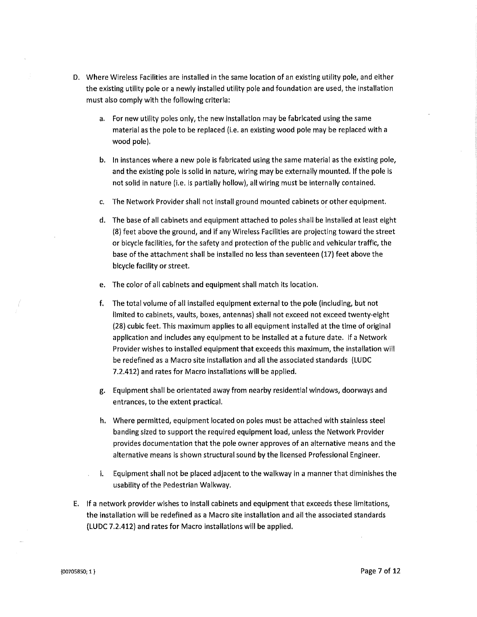- D. Where Wireless Facilities are installed in the same location of an existing utility pole, and either the existing utility pole or a newly installed utility pole and foundation are used, the installation must also comply with the following criteria:
	- a. For new utility poles only, the new installation may be fabricated using the same material as the pole to be replaced (i.e. an existing wood pole may be replaced with a wood pole).
	- b. In instances where a new pole is fabricated using the same material as the existing pole, and the existing pole is solid in nature, wiring may be externally mounted. If the pole is not solid in nature (i.e. Is partially hollow), all wiring must be internally contained.
	- c. The Network Provider shall not install ground mounted cabinets or other equipment.
	- d. The base of all cabinets and equipment attached to poles shall be Installed at least eight (8) feet above the ground, and if any Wireless Facilities are projecting toward the street or bicycle facilities, for the safety and protection of the public and vehicular traffic, the base of the attachment shall be installed no less than seventeen (17) feet above the bicycle facility or street.
	- e. The color of all cabinets and equipment shall match its location.
	- f. The total volume of all installed equipment external to the pole (including, but not limited to cabinets, vaults, boxes, antennas) shall not exceed not exceed twenty-eight (28} cubic feet. This maximum applies to all equipment installed at the time of original application and includes any equipment to be installed at a future date. If a Network Provider wishes to installed equipment that exceeds this maximum, the installation will be redefined as a Macro site installation and all the associated standards (LUDC 7.2.412) and rates for Macro Installations will be applied.
	- g. Equipment shall be orientated away from nearby residential windows, doorways and entrances, to the extent practical.
	- h. Where permitted, equipment located on poles must be attached with stainless steel banding sized to support the required equipment load, unless the Network Provider provides documentation that the pole owner approves of an alternative means and the alternative means is shown structural sound by the licensed Professional Engineer.
	- i. Equipment shall not be placed adjacent to the walkway in a manner that diminishes the usability of the Pedestrian Walkway.
- E. If a network provider wishes to install cabinets and equipment that exceeds these limitations, the Installation will be redefined as a Macro site installation and all the associated standards (LUDC 7.2.412) and rates for Macro installations will be applied.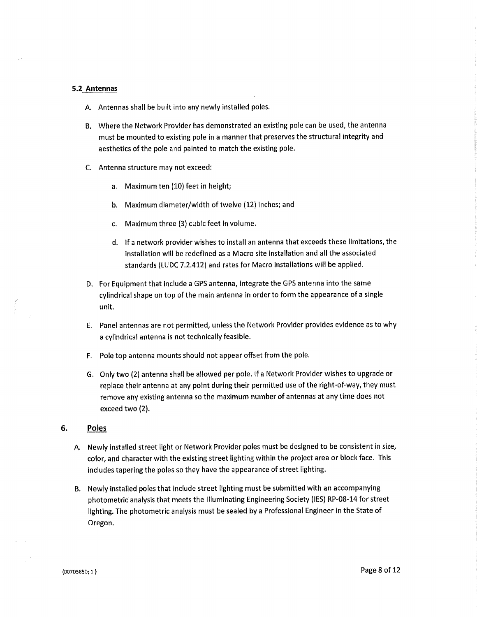#### 5.2 **Antennas**

- A. Antennas shall be built into any newly installed poles.
- B. Where the Network Provider has demonstrated an existing pole can be used, the antenna must be mounted to existing pole in a manner that preserves the structural integrity and aesthetics of the pole and painted to match the existing pole.
- C. Antenna structure may not exceed:
	- a. Maximum ten (10) feet in height;
	- b. Maximum diameter/width of twelve (12) inches; and
	- c. Maximum three (3) cubic feet in volume.
	- d. If a network provider wishes to install an antenna that exceeds these limitations, the installation will be redefined as a Macro site Installation and all the associated standards (LUDC 7.2.412) and rates for Macro installations will be applied.
- D. For Equipment that include a GPS antenna, integrate the GPS antenna into the same cylindrical shape on top of the main antenna in order to form the appearance of a single unit.
- E. Panel antennas are not permitted, unless the Network Provider provides evidence as to why a cylindrical antenna is not technically feasible.
- F. Pole top antenna mounts should not appear offset from the pole.
- G. Only two (2) antenna shall be allowed per pole. If a Network Provider wishes to upgrade or replace their antenna at any point during their permitted use of the right-of-way, they must remove any existing antenna so the maximum number of antennas at any time does not exceed two (2).

#### **6. Poles**

- A. Newly Installed street light or Network Provider poles must be designed to be consistent in size, color, and character with the existing street lighting within the project area or block face. This includes tapering the poles so they have the appearance of street lighting.
- B. Newly installed poles that include street lighting must be submitted with an accompanying photometric analysis that meets the Illuminating Engineering Society (IES) RP-08-14 for street lighting. The photometric analysis must be sealed by a Professional Engineer in the State of Oregon.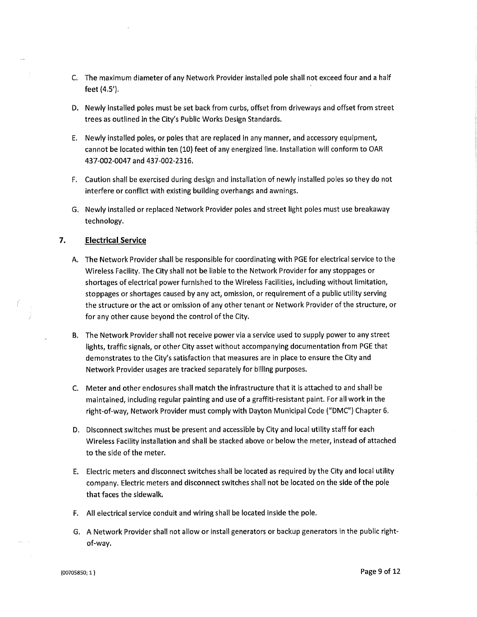- C. The maximum diameter of any Network Provider installed pole shall not exceed four and a half feet (4.5').
- D. Newly Installed poles must be set back from curbs, offset from driveways and offset from street trees as outlined in the City's Public Works Design Standards.
- E. Newly installed poles, or poles that are replaced in any manner, and accessory equipment, cannot be located within ten (10) feet of any energized line. Installation will conform to OAR 437-002-0047 and 437-002-2316,
- F. Caution shall be exercised during design and installation of newly Installed poles so they do not interfere or conflict with existing building overhangs and awnings.
- G. Newly installed or replaced Network Provider poles and street light poles must use breakaway technology.

#### **7. Electrical Service**

- A. The Network Provider shall be responsible for coordinating with PGE for electrical service to the Wireless Facility. The City shall not be liable to the Network Provider for any stoppages or shortages of electrical power furnished to the Wireless Facilities, including without limitation, stoppages or shortages caused by any act, omission, or requirement of a public utility serving the structure or the act or omission of any other tenant or Network Provider of the structure, or for any other cause beyond the control of the City.
- B. The Network Provider shall not receive power via a service used to supply power to any street lights, traffic signals, or other City asset without accompanying documentation from PGE that demonstrates to the City's satisfaction that measures are in place to ensure the City and Network Provider usages are tracked separately for billing purposes.
- C. Meter and other enclosures shall match the infrastructure that it is attached to and shall be maintained, including regular painting and use of a graffiti-resistant paint. For all work in the right-of-way, Network Provider must comply with Dayton Municipal Code ("DMC") Chapter 6,
- D. Disconnect switches must be present and accessible by City and local utility staff for each Wireless Facility installation and shall be stacked above or below the meter, instead of attached to the side of the meter.
- E. Electric meters and disconnect switches shall be located as required by the City and local utility company. Electric meters and disconnect switches shall not be located on the side of the pole that faces the sidewalk.
- F. All electrical service conduit and wiring shall be located inside the pole.
- G. A Network Provider shall not allow or install generators or backup generators in the public rightof-way.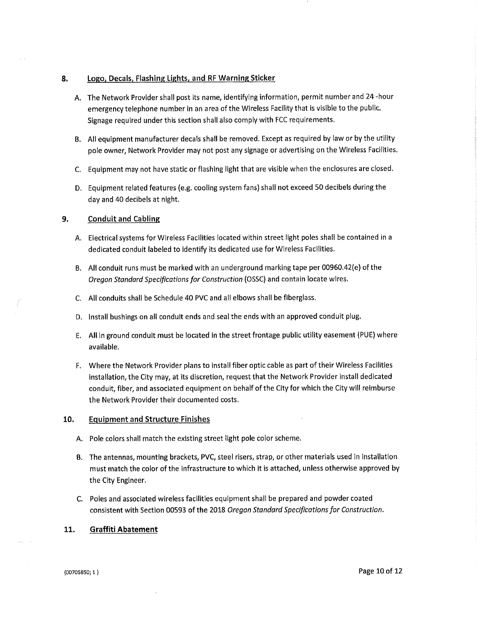#### **8.** Logo, Decals, Flashing lights, and RF Warning Sticker

- A. The Network Provider shall post its name, identifying information, permit number and 24 -hour emergency telephone number in an area of the Wireless Facility that is visible to the public. Signage required under this section shall also comply with FCC requirements.
- B. All equipment manufacturer decals shall be removed. Except as required by law or by the utility pole owner, Network Provider may not post any signage or advertising on the Wireless Facilities,
- C. Equipment may not have static or flashing light that are visible when the enclosures are closed.
- D. Equipment related features (e.g. cooling system fans) shall not exceed 50 decibels during the day and 40 decibels at night.

#### **9.** Conduit and Cabling

- A. Electrical systems for Wireless Facilities located within street light poles shall be contained in <sup>a</sup> dedicated conduit labeled to identify its dedicated use for Wireless Facilities.
- B. All conduit runs must be marked with an underground marking tape per 00960.42(e) of the *Oregon Standard Specifications for Construction* {OSSC) and contain locate wlres,
- C. All conduits shall be Schedule 40 PVC and all elbows shall be fiberglass.
- D. Install bushings on all conduit ends and seal the ends with an approved conduit plug.
- E. All in ground conduit must be located in the street frontage public utility easement (PUE) where available.
- F. Where the Network Provider plans to install fiber optic cable as part of their Wireless Facilities installation, the City may, at its discretion, request that the Network Provider install dedicated conduit, fiber, and associated equipment on behalf of the City for which the City will reimburse the Network Provider their documented costs.

#### **10.** Equipment and Structure Finishes

- A. Pole colors shall match the existing street light pole color scheme.
- B. The antennas, mounting brackets, PVC, steel risers, strap, or other materials used in installation must match the color of the infrastructure to which it is attached, unless otherwise approved by the City Engineer.
- C. Poles and associated wireless facilities equipment shall be prepared and powder coated consistent with Section 00593 of the 2018 *Oregon Standard Specifications for Construction.*

#### **11. Graffiti Abatement**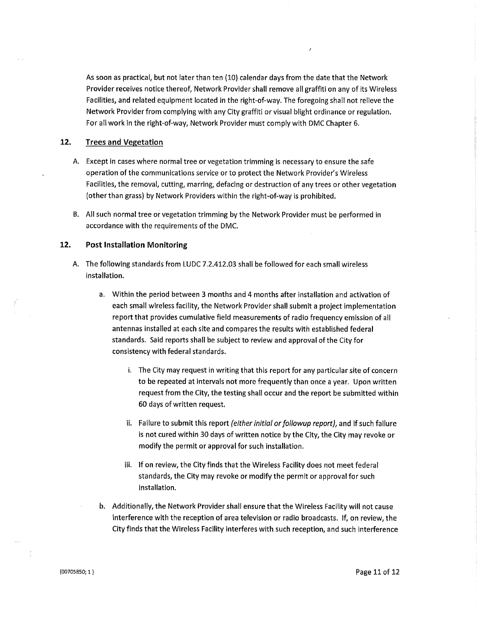As soon as practical, but not later than ten (10) calendar days from the date that the Network Provider receives notice thereof, Network Provider shall remove all graffiti on any of its Wireless Facilities, and related equipment located in the right-of-way. The foregoing shall not relieve the Network Provider from complying with any City graffiti or visual blight ordinance or regulation. For all work In the right-of-way, Network Provider must comply with DMC Chapter 6.

#### **12.** Trees and Vegetation

- A. Except in cases where normal tree or vegetation trimming is necessary to ensure the safe operation of the communications service or to protect the Network Provider's Wireless Facilities, the removal, cutting, marring, defacing or destruction of any trees or other vegetation (other than grass) by Network Providers within the right-of-way is prohibited.
- B. All such normal tree or vegetation trimming by the Network Provider must be performed in accordance with the requirements of the DMC.

#### **12. Post Installation Monitoring**

- A. The foflowlng standards from LUDC 7.2.412.03 shall be followed for each small wireless installation.
	- a. Within the period between 3 months and 4 months after installation and activation of each small wireless facility, the Network Provider shall submit a project Implementation report that provides cumulative field measurements of radio frequency emission of all antennas installed at each site and compares the results with established federal standards. Said reports shall be subject to review and approval of the City for consistency with federal standards.
		- i. The City may request in writing that this report for any particular site of concern to be repeated at intervals not more frequently than once a year. Upon written request from the City, the testing shall occur and the report be submitted within 60 days of written request.
		- ii. Failure to submit this report *(either initial or followup report),* and if such failure is not cured within 30 days of written notice by the City, the City may revoke or modify the permit or approval for such installation.
		- iii. If on review, the City finds that the Wireless Facility does not meet federal standards, the City may revoke or modify the permit or approval for such installation.
	- b. Additionally, the Network Provider shall ensure that the Wireless Facility will not cause interference with the reception of area television or radio broadcasts. If, on review, the City finds that the Wireless Facility Interferes with such reception, and such interference